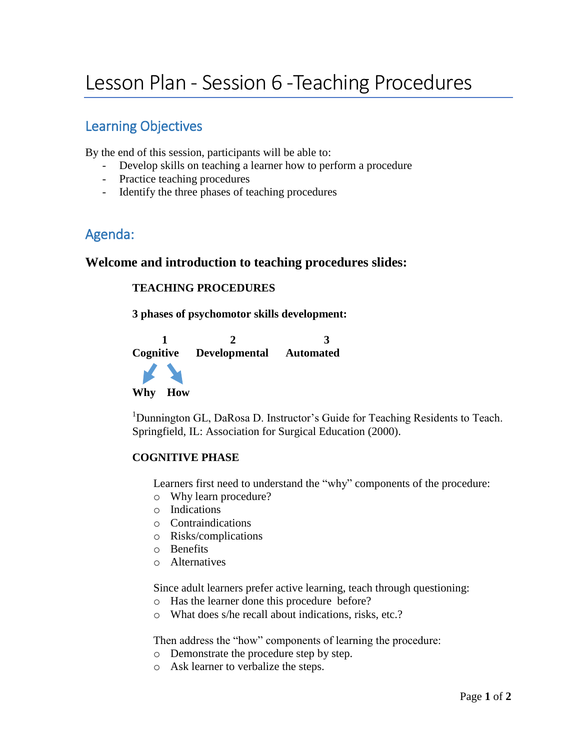## Learning Objectives

By the end of this session, participants will be able to:

- Develop skills on teaching a learner how to perform a procedure
- Practice teaching procedures
- Identify the three phases of teaching procedures

# Agenda:

### **Welcome and introduction to teaching procedures slides:**

#### **TEACHING PROCEDURES**

**3 phases of psychomotor skills development:**



<sup>1</sup>Dunnington GL, DaRosa D. Instructor's Guide for Teaching Residents to Teach. Springfield, IL: Association for Surgical Education (2000).

#### **COGNITIVE PHASE**

Learners first need to understand the "why" components of the procedure:

- o Why learn procedure?
- o Indications
- o Contraindications
- o Risks/complications
- o Benefits
- o Alternatives

Since adult learners prefer active learning, teach through questioning:

- o Has the learner done this procedure before?
- o What does s/he recall about indications, risks, etc.?

Then address the "how" components of learning the procedure:

- o Demonstrate the procedure step by step.
- o Ask learner to verbalize the steps.